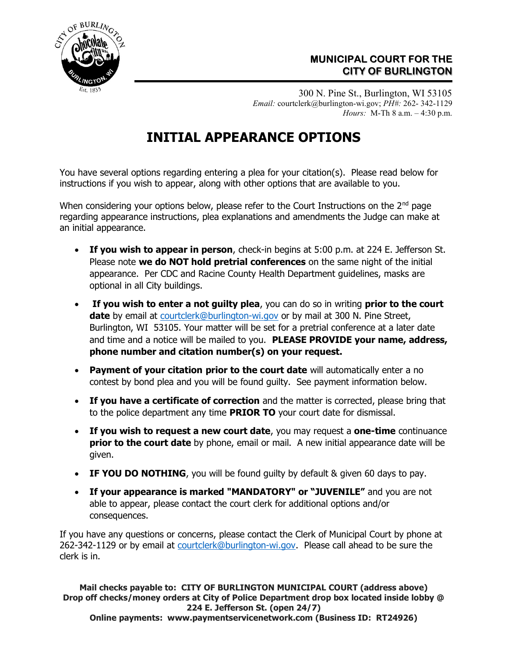

## MUNICIPAL COURT FOR THE CITY OF BURLINGTON

300 N. Pine St., Burlington, WI 53105 Email: courtclerk@burlington-wi.gov; PH#: 262- 342-1129 Hours: M-Th 8 a.m. – 4:30 p.m.

## INITIAL APPEARANCE OPTIONS

٦

You have several options regarding entering a plea for your citation(s). Please read below for instructions if you wish to appear, along with other options that are available to you.

When considering your options below, please refer to the Court Instructions on the  $2<sup>nd</sup>$  page regarding appearance instructions, plea explanations and amendments the Judge can make at an initial appearance.

- If you wish to appear in person, check-in begins at 5:00 p.m. at 224 E. Jefferson St. Please note we do NOT hold pretrial conferences on the same night of the initial appearance. Per CDC and Racine County Health Department guidelines, masks are optional in all City buildings.
- If you wish to enter a not guilty plea, you can do so in writing prior to the court date by email at courtclerk@burlington-wi.gov or by mail at 300 N. Pine Street, Burlington, WI 53105. Your matter will be set for a pretrial conference at a later date and time and a notice will be mailed to you. PLEASE PROVIDE your name, address, phone number and citation number(s) on your request.
- Payment of your citation prior to the court date will automatically enter a no contest by bond plea and you will be found guilty. See payment information below.
- If you have a certificate of correction and the matter is corrected, please bring that to the police department any time **PRIOR TO** your court date for dismissal.
- If you wish to request a new court date, you may request a one-time continuance prior to the court date by phone, email or mail. A new initial appearance date will be given.
- IF YOU DO NOTHING, you will be found quilty by default & given 60 days to pay.
- If your appearance is marked "MANDATORY" or "JUVENILE" and you are not able to appear, please contact the court clerk for additional options and/or consequences.

If you have any questions or concerns, please contact the Clerk of Municipal Court by phone at 262-342-1129 or by email at courtclerk@burlington-wi.gov. Please call ahead to be sure the clerk is in.

Mail checks payable to: CITY OF BURLINGTON MUNICIPAL COURT (address above) Drop off checks/money orders at City of Police Department drop box located inside lobby @ 224 E. Jefferson St. (open 24/7) Online payments: www.paymentservicenetwork.com (Business ID: RT24926)